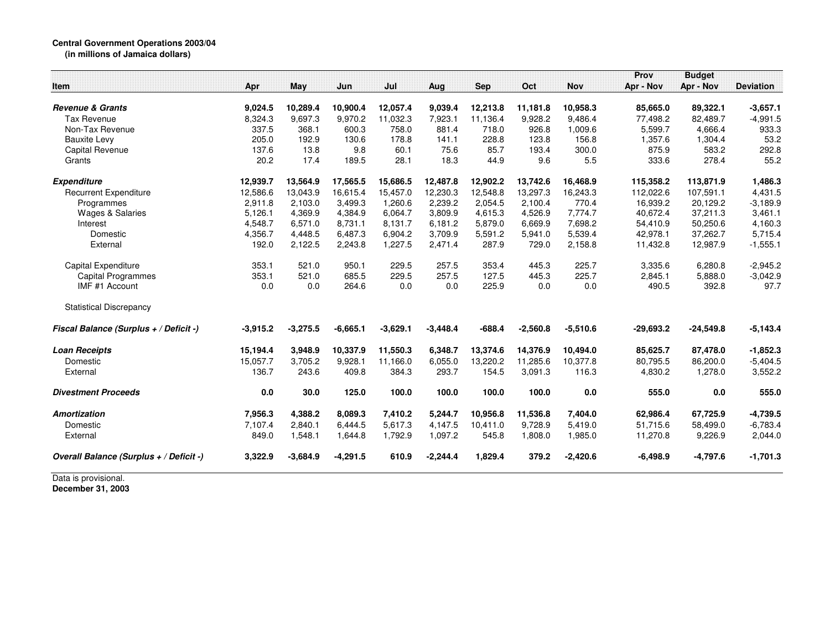## **Central Government Operations 2003/04**

**(in millions of Jamaica dollars)**

|                                         |            |            |            |            |            |            |            |            | Prov        | <b>Budget</b> |                  |
|-----------------------------------------|------------|------------|------------|------------|------------|------------|------------|------------|-------------|---------------|------------------|
| Item                                    | Apr        | May        | Jun        | Jul        | Aug        | <b>Sep</b> | Oct        | <b>Nov</b> | Apr - Nov   | Apr - Nov     | <b>Deviation</b> |
| <b>Revenue &amp; Grants</b>             | 9.024.5    | 10,289.4   | 10,900.4   | 12,057.4   | 9,039.4    | 12,213.8   | 11,181.8   | 10,958.3   | 85,665.0    | 89,322.1      | $-3,657.1$       |
| Tax Revenue                             | 8,324.3    | 9,697.3    | 9,970.2    | 11,032.3   | 7,923.1    | 11,136.4   | 9,928.2    | 9.486.4    | 77,498.2    | 82,489.7      | $-4,991.5$       |
| Non-Tax Revenue                         | 337.5      | 368.1      | 600.3      | 758.0      | 881.4      | 718.0      | 926.8      | 1,009.6    | 5,599.7     | 4,666.4       | 933.3            |
| <b>Bauxite Levy</b>                     | 205.0      | 192.9      | 130.6      | 178.8      | 141.1      | 228.8      | 123.8      | 156.8      | 1,357.6     | 1,304.4       | 53.2             |
| <b>Capital Revenue</b>                  | 137.6      | 13.8       | 9.8        | 60.1       | 75.6       | 85.7       | 193.4      | 300.0      | 875.9       | 583.2         | 292.8            |
| Grants                                  | 20.2       | 17.4       | 189.5      | 28.1       | 18.3       | 44.9       | 9.6        | 5.5        | 333.6       | 278.4         | 55.2             |
| <b>Expenditure</b>                      | 12,939.7   | 13,564.9   | 17,565.5   | 15,686.5   | 12,487.8   | 12,902.2   | 13,742.6   | 16,468.9   | 115,358.2   | 113,871.9     | 1,486.3          |
| <b>Recurrent Expenditure</b>            | 12,586.6   | 13,043.9   | 16,615.4   | 15,457.0   | 12,230.3   | 12,548.8   | 13,297.3   | 16,243.3   | 112,022.6   | 107,591.1     | 4,431.5          |
| Programmes                              | 2,911.8    | 2.103.0    | 3.499.3    | 1.260.6    | 2.239.2    | 2,054.5    | 2.100.4    | 770.4      | 16,939.2    | 20,129.2      | $-3,189.9$       |
| <b>Wages &amp; Salaries</b>             | 5,126.1    | 4,369.9    | 4,384.9    | 6,064.7    | 3,809.9    | 4,615.3    | 4,526.9    | 7,774.7    | 40,672.4    | 37,211.3      | 3,461.1          |
| Interest                                | 4,548.7    | 6,571.0    | 8,731.1    | 8,131.7    | 6,181.2    | 5,879.0    | 6,669.9    | 7,698.2    | 54,410.9    | 50,250.6      | 4,160.3          |
| Domestic                                | 4,356.7    | 4,448.5    | 6,487.3    | 6,904.2    | 3,709.9    | 5,591.2    | 5,941.0    | 5,539.4    | 42,978.1    | 37,262.7      | 5,715.4          |
| External                                | 192.0      | 2,122.5    | 2,243.8    | 1,227.5    | 2,471.4    | 287.9      | 729.0      | 2,158.8    | 11,432.8    | 12,987.9      | $-1,555.1$       |
| Capital Expenditure                     | 353.1      | 521.0      | 950.1      | 229.5      | 257.5      | 353.4      | 445.3      | 225.7      | 3,335.6     | 6,280.8       | $-2,945.2$       |
| Capital Programmes                      | 353.1      | 521.0      | 685.5      | 229.5      | 257.5      | 127.5      | 445.3      | 225.7      | 2,845.1     | 5,888.0       | $-3,042.9$       |
| IMF #1 Account                          | 0.0        | 0.0        | 264.6      | 0.0        | 0.0        | 225.9      | 0.0        | 0.0        | 490.5       | 392.8         | 97.7             |
| <b>Statistical Discrepancy</b>          |            |            |            |            |            |            |            |            |             |               |                  |
| Fiscal Balance (Surplus + / Deficit -)  | $-3,915.2$ | $-3,275.5$ | $-6,665.1$ | $-3,629.1$ | $-3,448.4$ | $-688.4$   | $-2,560.8$ | $-5,510.6$ | $-29,693.2$ | $-24,549.8$   | $-5,143.4$       |
| <b>Loan Receipts</b>                    | 15,194.4   | 3,948.9    | 10,337.9   | 11,550.3   | 6,348.7    | 13,374.6   | 14,376.9   | 10,494.0   | 85,625.7    | 87,478.0      | $-1,852.3$       |
| Domestic                                | 15,057.7   | 3,705.2    | 9,928.1    | 11,166.0   | 6,055.0    | 13,220.2   | 11,285.6   | 10,377.8   | 80,795.5    | 86,200.0      | $-5,404.5$       |
| External                                | 136.7      | 243.6      | 409.8      | 384.3      | 293.7      | 154.5      | 3,091.3    | 116.3      | 4,830.2     | 1,278.0       | 3,552.2          |
| <b>Divestment Proceeds</b>              | $0.0\,$    | 30.0       | 125.0      | 100.0      | 100.0      | 100.0      | 100.0      | 0.0        | 555.0       | 0.0           | 555.0            |
| <b>Amortization</b>                     | 7,956.3    | 4,388.2    | 8,089.3    | 7,410.2    | 5,244.7    | 10.956.8   | 11,536.8   | 7,404.0    | 62,986.4    | 67,725.9      | $-4,739.5$       |
| Domestic                                | 7,107.4    | 2,840.1    | 6,444.5    | 5,617.3    | 4,147.5    | 10,411.0   | 9,728.9    | 5,419.0    | 51,715.6    | 58,499.0      | $-6,783.4$       |
| External                                | 849.0      | 1,548.1    | 1,644.8    | 1,792.9    | 1,097.2    | 545.8      | 1,808.0    | 1,985.0    | 11,270.8    | 9,226.9       | 2,044.0          |
| Overall Balance (Surplus + / Deficit -) | 3.322.9    | $-3,684.9$ | $-4,291.5$ | 610.9      | $-2,244.4$ | 1,829.4    | 379.2      | $-2,420.6$ | $-6,498.9$  | $-4,797.6$    | $-1,701.3$       |

Data is provisional. **December 31, 2003**